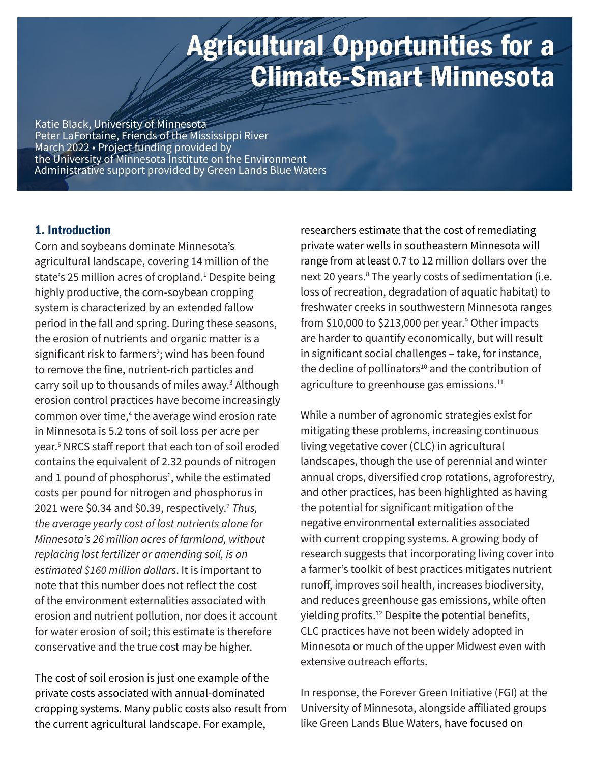# Agricultural Opportunities for a Climate-Smart Minnesota

Katie Black, University of Minnesota Peter LaFontaine, Friends of the Mississippi River March 2022 • Project funding provided by the University of Minnesota Institute on the Environment Administrative support provided by Green Lands Blue Waters

## 1. Introduction

Corn and soybeans dominate Minnesota's agricultural landscape, covering 14 million of the state's 25 million acres of cropland.<sup>1</sup> Despite being highly productive, the corn-soybean cropping system is characterized by an extended fallow period in the fall and spring. During these seasons, the erosion of nutrients and organic matter is a significant risk to farmers<sup>2</sup>; wind has been found to remove the fine, nutrient-rich particles and carry soil up to thousands of miles away.<sup>3</sup> Although erosion control practices have become increasingly common over time,<sup>4</sup> the average wind erosion rate in Minnesota is 5.2 tons of soil loss per acre per year.5 NRCS staff report that each ton of soil eroded contains the equivalent of 2.32 pounds of nitrogen and 1 pound of phosphorus<sup>6</sup>, while the estimated costs per pound for nitrogen and phosphorus in 2021 were \$0.34 and \$0.39, respectively.7 *Thus, the average yearly cost of lost nutrients alone for Minnesota's 26 million acres of farmland, without replacing lost fertilizer or amending soil, is an estimated \$160 million dollars*. It is important to note that this number does not reflect the cost of the environment externalities associated with erosion and nutrient pollution, nor does it account for water erosion of soil; this estimate is therefore conservative and the true cost may be higher.

The cost of soil erosion is just one example of the private costs associated with annual-dominated cropping systems. Many public costs also result from the current agricultural landscape. For example,

researchers estimate that the cost of remediating private water wells in southeastern Minnesota will range from at least 0.7 to 12 million dollars over the next 20 years.<sup>8</sup> The yearly costs of sedimentation (i.e. loss of recreation, degradation of aquatic habitat) to freshwater creeks in southwestern Minnesota ranges from \$10,000 to \$213,000 per year.<sup>9</sup> Other impacts are harder to quantify economically, but will result in significant social challenges – take, for instance, the decline of pollinators $10$  and the contribution of agriculture to greenhouse gas emissions.<sup>11</sup>

While a number of agronomic strategies exist for mitigating these problems, increasing continuous living vegetative cover (CLC) in agricultural landscapes, though the use of perennial and winter annual crops, diversified crop rotations, agroforestry, and other practices, has been highlighted as having the potential for significant mitigation of the negative environmental externalities associated with current cropping systems. A growing body of research suggests that incorporating living cover into a farmer's toolkit of best practices mitigates nutrient runoff, improves soil health, increases biodiversity, and reduces greenhouse gas emissions, while often yielding profits.<sup>12</sup> Despite the potential benefits, CLC practices have not been widely adopted in Minnesota or much of the upper Midwest even with extensive outreach efforts.

In response, the Forever Green Initiative (FGI) at the University of Minnesota, alongside affiliated groups like Green Lands Blue Waters, have focused on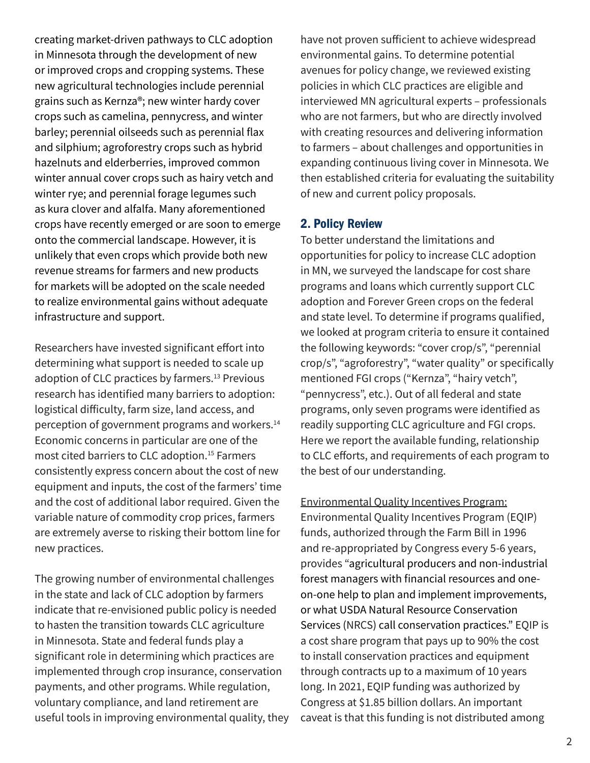creating market-driven pathways to CLC adoption in Minnesota through the development of new or improved crops and cropping systems. These new agricultural technologies include perennial grains such as Kernza®; new winter hardy cover crops such as camelina, pennycress, and winter barley; perennial oilseeds such as perennial flax and silphium; agroforestry crops such as hybrid hazelnuts and elderberries, improved common winter annual cover crops such as hairy vetch and winter rye; and perennial forage legumes such as kura clover and alfalfa. Many aforementioned crops have recently emerged or are soon to emerge onto the commercial landscape. However, it is unlikely that even crops which provide both new revenue streams for farmers and new products for markets will be adopted on the scale needed to realize environmental gains without adequate infrastructure and support.

Researchers have invested significant effort into determining what support is needed to scale up adoption of CLC practices by farmers.<sup>13</sup> Previous research has identified many barriers to adoption: logistical difficulty, farm size, land access, and perception of government programs and workers.14 Economic concerns in particular are one of the most cited barriers to CLC adoption.15 Farmers consistently express concern about the cost of new equipment and inputs, the cost of the farmers' time and the cost of additional labor required. Given the variable nature of commodity crop prices, farmers are extremely averse to risking their bottom line for new practices.

The growing number of environmental challenges in the state and lack of CLC adoption by farmers indicate that re-envisioned public policy is needed to hasten the transition towards CLC agriculture in Minnesota. State and federal funds play a significant role in determining which practices are implemented through crop insurance, conservation payments, and other programs. While regulation, voluntary compliance, and land retirement are useful tools in improving environmental quality, they have not proven sufficient to achieve widespread environmental gains. To determine potential avenues for policy change, we reviewed existing policies in which CLC practices are eligible and interviewed MN agricultural experts – professionals who are not farmers, but who are directly involved with creating resources and delivering information to farmers – about challenges and opportunities in expanding continuous living cover in Minnesota. We then established criteria for evaluating the suitability of new and current policy proposals.

## 2. Policy Review

To better understand the limitations and opportunities for policy to increase CLC adoption in MN, we surveyed the landscape for cost share programs and loans which currently support CLC adoption and Forever Green crops on the federal and state level. To determine if programs qualified, we looked at program criteria to ensure it contained the following keywords: "cover crop/s", "perennial crop/s", "agroforestry", "water quality" or specifically mentioned FGI crops ("Kernza", "hairy vetch", "pennycress", etc.). Out of all federal and state programs, only seven programs were identified as readily supporting CLC agriculture and FGI crops. Here we report the available funding, relationship to CLC efforts, and requirements of each program to the best of our understanding.

Environmental Quality Incentives Program: Environmental Quality Incentives Program (EQIP) funds, authorized through the Farm Bill in 1996 and re-appropriated by Congress every 5-6 years, provides "agricultural producers and non-industrial forest managers with financial resources and oneon-one help to plan and implement improvements, or what USDA Natural Resource Conservation Services (NRCS) call conservation practices." EQIP is a cost share program that pays up to 90% the cost to install conservation practices and equipment through contracts up to a maximum of 10 years long. In 2021, EQIP funding was authorized by Congress at \$1.85 billion dollars. An important caveat is that this funding is not distributed among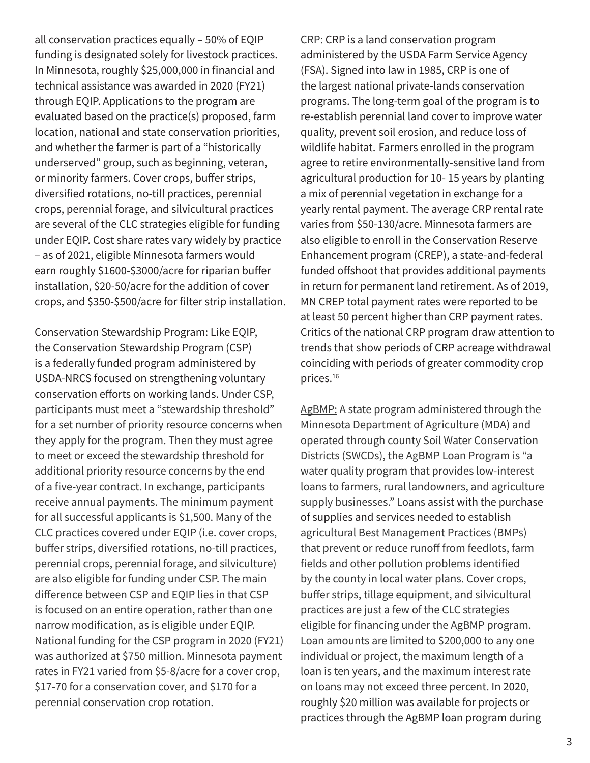all conservation practices equally – 50% of EQIP funding is designated solely for livestock practices. In Minnesota, roughly \$25,000,000 in financial and technical assistance was awarded in 2020 (FY21) through EQIP. Applications to the program are evaluated based on the practice(s) proposed, farm location, national and state conservation priorities, and whether the farmer is part of a "historically underserved" group, such as beginning, veteran, or minority farmers. Cover crops, buffer strips, diversified rotations, no-till practices, perennial crops, perennial forage, and silvicultural practices are several of the CLC strategies eligible for funding under EQIP. Cost share rates vary widely by practice – as of 2021, eligible Minnesota farmers would earn roughly \$1600-\$3000/acre for riparian buffer installation, \$20-50/acre for the addition of cover crops, and \$350-\$500/acre for filter strip installation.

Conservation Stewardship Program: Like EQIP, the Conservation Stewardship Program (CSP) is a federally funded program administered by USDA-NRCS focused on strengthening voluntary conservation efforts on working lands. Under CSP, participants must meet a "stewardship threshold" for a set number of priority resource concerns when they apply for the program. Then they must agree to meet or exceed the stewardship threshold for additional priority resource concerns by the end of a five-year contract. In exchange, participants receive annual payments. The minimum payment for all successful applicants is \$1,500. Many of the CLC practices covered under EQIP (i.e. cover crops, buffer strips, diversified rotations, no-till practices, perennial crops, perennial forage, and silviculture) are also eligible for funding under CSP. The main difference between CSP and EQIP lies in that CSP is focused on an entire operation, rather than one narrow modification, as is eligible under EQIP. National funding for the CSP program in 2020 (FY21) was authorized at \$750 million. Minnesota payment rates in FY21 varied from \$5-8/acre for a cover crop, \$17-70 for a conservation cover, and \$170 for a perennial conservation crop rotation.

CRP: CRP is a land conservation program administered by the USDA Farm Service Agency (FSA). Signed into law in 1985, CRP is one of the largest national private-lands conservation programs. The long-term goal of the program is to re-establish perennial land cover to improve water quality, prevent soil erosion, and reduce loss of wildlife habitat. Farmers enrolled in the program agree to retire environmentally-sensitive land from agricultural production for 10- 15 years by planting a mix of perennial vegetation in exchange for a yearly rental payment. The average CRP rental rate varies from \$50-130/acre. Minnesota farmers are also eligible to enroll in the Conservation Reserve Enhancement program (CREP), a state-and-federal funded offshoot that provides additional payments in return for permanent land retirement. As of 2019, MN CREP total payment rates were reported to be at least 50 percent higher than CRP payment rates. Critics of the national CRP program draw attention to trends that show periods of CRP acreage withdrawal coinciding with periods of greater commodity crop prices.16

AgBMP: A state program administered through the Minnesota Department of Agriculture (MDA) and operated through county Soil Water Conservation Districts (SWCDs), the AgBMP Loan Program is "a water quality program that provides low-interest loans to farmers, rural landowners, and agriculture supply businesses." Loans assist with the purchase of supplies and services needed to establish agricultural Best Management Practices (BMPs) that prevent or reduce runoff from feedlots, farm fields and other pollution problems identified by the county in local water plans. Cover crops, buffer strips, tillage equipment, and silvicultural practices are just a few of the CLC strategies eligible for financing under the AgBMP program. Loan amounts are limited to \$200,000 to any one individual or project, the maximum length of a loan is ten years, and the maximum interest rate on loans may not exceed three percent. In 2020, roughly \$20 million was available for projects or practices through the AgBMP loan program during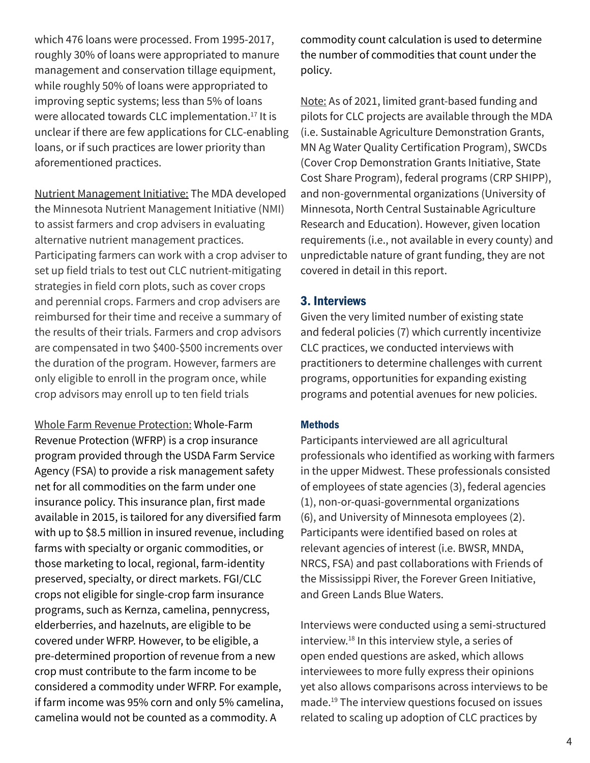which 476 loans were processed. From 1995-2017, roughly 30% of loans were appropriated to manure management and conservation tillage equipment, while roughly 50% of loans were appropriated to improving septic systems; less than 5% of loans were allocated towards CLC implementation.<sup>17</sup> It is unclear if there are few applications for CLC-enabling loans, or if such practices are lower priority than aforementioned practices.

Nutrient Management Initiative: The MDA developed the Minnesota Nutrient Management Initiative (NMI) to assist farmers and crop advisers in evaluating alternative nutrient management practices. Participating farmers can work with a crop adviser to set up field trials to test out CLC nutrient-mitigating strategies in field corn plots, such as cover crops and perennial crops. Farmers and crop advisers are reimbursed for their time and receive a summary of the results of their trials. Farmers and crop advisors are compensated in two \$400-\$500 increments over the duration of the program. However, farmers are only eligible to enroll in the program once, while crop advisors may enroll up to ten field trials

Whole Farm Revenue Protection: Whole-Farm Revenue Protection (WFRP) is a crop insurance program provided through the USDA Farm Service Agency (FSA) to provide a risk management safety net for all commodities on the farm under one insurance policy. This insurance plan, first made available in 2015, is tailored for any diversified farm with up to \$8.5 million in insured revenue, including farms with specialty or organic commodities, or those marketing to local, regional, farm-identity preserved, specialty, or direct markets. FGI/CLC crops not eligible for single-crop farm insurance programs, such as Kernza, camelina, pennycress, elderberries, and hazelnuts, are eligible to be covered under WFRP. However, to be eligible, a pre-determined proportion of revenue from a new crop must contribute to the farm income to be considered a commodity under WFRP. For example, if farm income was 95% corn and only 5% camelina, camelina would not be counted as a commodity. A

commodity count calculation is used to determine the number of commodities that count under the policy.

Note: As of 2021, limited grant-based funding and pilots for CLC projects are available through the MDA (i.e. Sustainable Agriculture Demonstration Grants, MN Ag Water Quality Certification Program), SWCDs (Cover Crop Demonstration Grants Initiative, State Cost Share Program), federal programs (CRP SHIPP), and non-governmental organizations (University of Minnesota, North Central Sustainable Agriculture Research and Education). However, given location requirements (i.e., not available in every county) and unpredictable nature of grant funding, they are not covered in detail in this report.

# 3. Interviews

Given the very limited number of existing state and federal policies (7) which currently incentivize CLC practices, we conducted interviews with practitioners to determine challenges with current programs, opportunities for expanding existing programs and potential avenues for new policies.

## **Methods**

Participants interviewed are all agricultural professionals who identified as working with farmers in the upper Midwest. These professionals consisted of employees of state agencies (3), federal agencies (1), non-or-quasi-governmental organizations (6), and University of Minnesota employees (2). Participants were identified based on roles at relevant agencies of interest (i.e. BWSR, MNDA, NRCS, FSA) and past collaborations with Friends of the Mississippi River, the Forever Green Initiative, and Green Lands Blue Waters.

Interviews were conducted using a semi-structured interview.18 In this interview style, a series of open ended questions are asked, which allows interviewees to more fully express their opinions yet also allows comparisons across interviews to be made.19 The interview questions focused on issues related to scaling up adoption of CLC practices by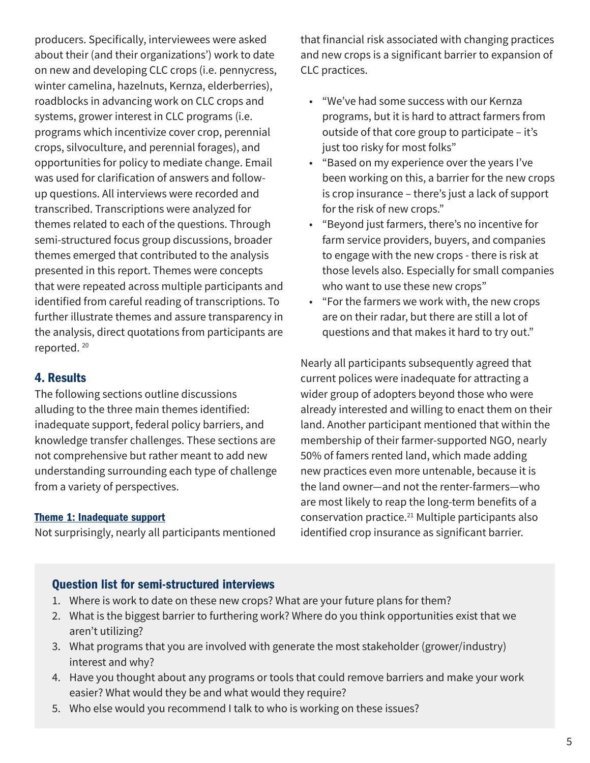producers. Specifically, interviewees were asked about their (and their organizations') work to date on new and developing CLC crops (i.e. pennycress, winter camelina, hazelnuts, Kernza, elderberries), roadblocks in advancing work on CLC crops and systems, grower interest in CLC programs (i.e. programs which incentivize cover crop, perennial crops, silvoculture, and perennial forages), and opportunities for policy to mediate change. Email was used for clarification of answers and followup questions. All interviews were recorded and transcribed. Transcriptions were analyzed for themes related to each of the questions. Through semi-structured focus group discussions, broader themes emerged that contributed to the analysis presented in this report. Themes were concepts that were repeated across multiple participants and identified from careful reading of transcriptions. To further illustrate themes and assure transparency in the analysis, direct quotations from participants are reported. 20

# 4. Results

The following sections outline discussions alluding to the three main themes identified: inadequate support, federal policy barriers, and knowledge transfer challenges. These sections are not comprehensive but rather meant to add new understanding surrounding each type of challenge from a variety of perspectives.

#### Theme 1: Inadequate support

Not surprisingly, nearly all participants mentioned

that financial risk associated with changing practices and new crops is a significant barrier to expansion of CLC practices.

- "We've had some success with our Kernza programs, but it is hard to attract farmers from outside of that core group to participate – it's just too risky for most folks"
- "Based on my experience over the years I've been working on this, a barrier for the new crops is crop insurance – there's just a lack of support for the risk of new crops."
- "Beyond just farmers, there's no incentive for farm service providers, buyers, and companies to engage with the new crops - there is risk at those levels also. Especially for small companies who want to use these new crops"
- "For the farmers we work with, the new crops are on their radar, but there are still a lot of questions and that makes it hard to try out."

Nearly all participants subsequently agreed that current polices were inadequate for attracting a wider group of adopters beyond those who were already interested and willing to enact them on their land. Another participant mentioned that within the membership of their farmer-supported NGO, nearly 50% of famers rented land, which made adding new practices even more untenable, because it is the land owner—and not the renter-farmers—who are most likely to reap the long-term benefits of a conservation practice.21 Multiple participants also identified crop insurance as significant barrier.

# Question list for semi-structured interviews

- 1. Where is work to date on these new crops? What are your future plans for them?
- 2. What is the biggest barrier to furthering work? Where do you think opportunities exist that we aren't utilizing?
- 3. What programs that you are involved with generate the most stakeholder (grower/industry) interest and why?
- 4. Have you thought about any programs or tools that could remove barriers and make your work easier? What would they be and what would they require?
- 5. Who else would you recommend I talk to who is working on these issues?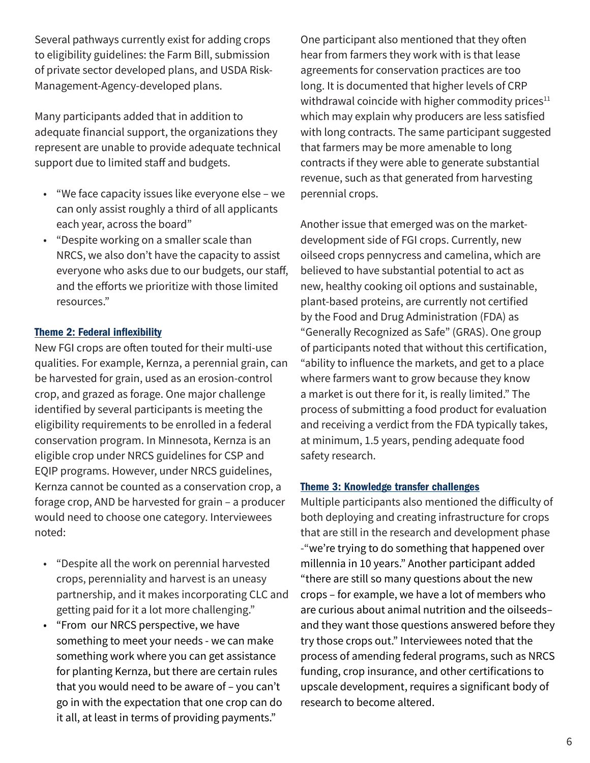Several pathways currently exist for adding crops to eligibility guidelines: the Farm Bill, submission of private sector developed plans, and USDA Risk-Management-Agency-developed plans.

Many participants added that in addition to adequate financial support, the organizations they represent are unable to provide adequate technical support due to limited staff and budgets.

- "We face capacity issues like everyone else we can only assist roughly a third of all applicants each year, across the board"
- "Despite working on a smaller scale than NRCS, we also don't have the capacity to assist everyone who asks due to our budgets, our staff, and the efforts we prioritize with those limited resources."

## Theme 2: Federal inflexibility

New FGI crops are often touted for their multi-use qualities. For example, Kernza, a perennial grain, can be harvested for grain, used as an erosion-control crop, and grazed as forage. One major challenge identified by several participants is meeting the eligibility requirements to be enrolled in a federal conservation program. In Minnesota, Kernza is an eligible crop under NRCS guidelines for CSP and EQIP programs. However, under NRCS guidelines, Kernza cannot be counted as a conservation crop, a forage crop, AND be harvested for grain – a producer would need to choose one category. Interviewees noted:

- "Despite all the work on perennial harvested crops, perenniality and harvest is an uneasy partnership, and it makes incorporating CLC and getting paid for it a lot more challenging."
- "From our NRCS perspective, we have something to meet your needs - we can make something work where you can get assistance for planting Kernza, but there are certain rules that you would need to be aware of – you can't go in with the expectation that one crop can do it all, at least in terms of providing payments."

One participant also mentioned that they often hear from farmers they work with is that lease agreements for conservation practices are too long. It is documented that higher levels of CRP withdrawal coincide with higher commodity prices $11$ which may explain why producers are less satisfied with long contracts. The same participant suggested that farmers may be more amenable to long contracts if they were able to generate substantial revenue, such as that generated from harvesting perennial crops.

Another issue that emerged was on the marketdevelopment side of FGI crops. Currently, new oilseed crops pennycress and camelina, which are believed to have substantial potential to act as new, healthy cooking oil options and sustainable, plant-based proteins, are currently not certified by the Food and Drug Administration (FDA) as "Generally Recognized as Safe" (GRAS). One group of participants noted that without this certification, "ability to influence the markets, and get to a place where farmers want to grow because they know a market is out there for it, is really limited." The process of submitting a food product for evaluation and receiving a verdict from the FDA typically takes, at minimum, 1.5 years, pending adequate food safety research.

#### Theme 3: Knowledge transfer challenges

Multiple participants also mentioned the difficulty of both deploying and creating infrastructure for crops that are still in the research and development phase -"we're trying to do something that happened over millennia in 10 years." Another participant added "there are still so many questions about the new crops – for example, we have a lot of members who are curious about animal nutrition and the oilseeds– and they want those questions answered before they try those crops out." Interviewees noted that the process of amending federal programs, such as NRCS funding, crop insurance, and other certifications to upscale development, requires a significant body of research to become altered.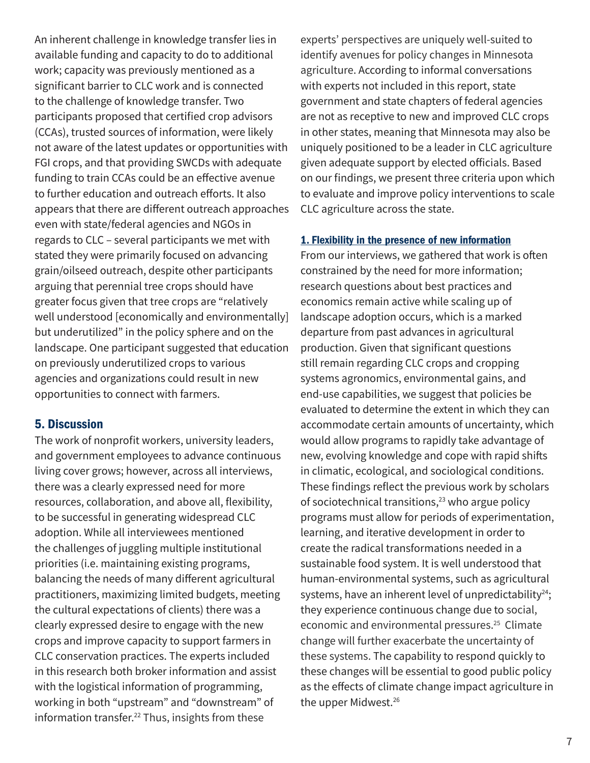An inherent challenge in knowledge transfer lies in available funding and capacity to do to additional work; capacity was previously mentioned as a significant barrier to CLC work and is connected to the challenge of knowledge transfer. Two participants proposed that certified crop advisors (CCAs), trusted sources of information, were likely not aware of the latest updates or opportunities with FGI crops, and that providing SWCDs with adequate funding to train CCAs could be an effective avenue to further education and outreach efforts. It also appears that there are different outreach approaches even with state/federal agencies and NGOs in regards to CLC – several participants we met with stated they were primarily focused on advancing grain/oilseed outreach, despite other participants arguing that perennial tree crops should have greater focus given that tree crops are "relatively well understood [economically and environmentally] but underutilized" in the policy sphere and on the landscape. One participant suggested that education on previously underutilized crops to various agencies and organizations could result in new opportunities to connect with farmers.

## 5. Discussion

The work of nonprofit workers, university leaders, and government employees to advance continuous living cover grows; however, across all interviews, there was a clearly expressed need for more resources, collaboration, and above all, flexibility, to be successful in generating widespread CLC adoption. While all interviewees mentioned the challenges of juggling multiple institutional priorities (i.e. maintaining existing programs, balancing the needs of many different agricultural practitioners, maximizing limited budgets, meeting the cultural expectations of clients) there was a clearly expressed desire to engage with the new crops and improve capacity to support farmers in CLC conservation practices. The experts included in this research both broker information and assist with the logistical information of programming, working in both "upstream" and "downstream" of information transfer.22 Thus, insights from these

experts' perspectives are uniquely well-suited to identify avenues for policy changes in Minnesota agriculture. According to informal conversations with experts not included in this report, state government and state chapters of federal agencies are not as receptive to new and improved CLC crops in other states, meaning that Minnesota may also be uniquely positioned to be a leader in CLC agriculture given adequate support by elected officials. Based on our findings, we present three criteria upon which to evaluate and improve policy interventions to scale CLC agriculture across the state.

#### 1. Flexibility in the presence of new information

From our interviews, we gathered that work is often constrained by the need for more information; research questions about best practices and economics remain active while scaling up of landscape adoption occurs, which is a marked departure from past advances in agricultural production. Given that significant questions still remain regarding CLC crops and cropping systems agronomics, environmental gains, and end-use capabilities, we suggest that policies be evaluated to determine the extent in which they can accommodate certain amounts of uncertainty, which would allow programs to rapidly take advantage of new, evolving knowledge and cope with rapid shifts in climatic, ecological, and sociological conditions. These findings reflect the previous work by scholars of sociotechnical transitions,<sup>23</sup> who argue policy programs must allow for periods of experimentation, learning, and iterative development in order to create the radical transformations needed in a sustainable food system. It is well understood that human-environmental systems, such as agricultural systems, have an inherent level of unpredictability $24$ ; they experience continuous change due to social, economic and environmental pressures.<sup>25</sup> Climate change will further exacerbate the uncertainty of these systems. The capability to respond quickly to these changes will be essential to good public policy as the effects of climate change impact agriculture in the upper Midwest.<sup>26</sup>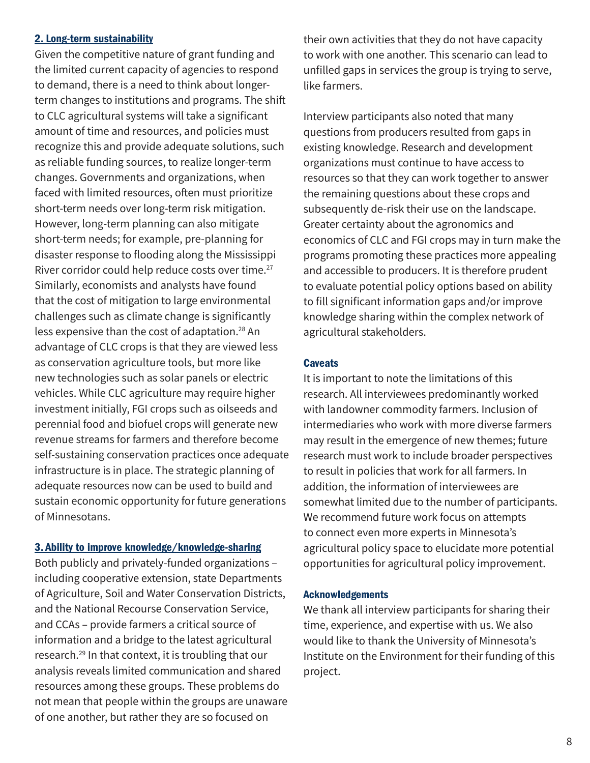#### 2. Long-term sustainability

Given the competitive nature of grant funding and the limited current capacity of agencies to respond to demand, there is a need to think about longerterm changes to institutions and programs. The shift to CLC agricultural systems will take a significant amount of time and resources, and policies must recognize this and provide adequate solutions, such as reliable funding sources, to realize longer-term changes. Governments and organizations, when faced with limited resources, often must prioritize short-term needs over long-term risk mitigation. However, long-term planning can also mitigate short-term needs; for example, pre-planning for disaster response to flooding along the Mississippi River corridor could help reduce costs over time.<sup>27</sup> Similarly, economists and analysts have found that the cost of mitigation to large environmental challenges such as climate change is significantly less expensive than the cost of adaptation.28 An advantage of CLC crops is that they are viewed less as conservation agriculture tools, but more like new technologies such as solar panels or electric vehicles. While CLC agriculture may require higher investment initially, FGI crops such as oilseeds and perennial food and biofuel crops will generate new revenue streams for farmers and therefore become self-sustaining conservation practices once adequate infrastructure is in place. The strategic planning of adequate resources now can be used to build and sustain economic opportunity for future generations of Minnesotans.

#### 3. Ability to improve knowledge/knowledge-sharing

Both publicly and privately-funded organizations – including cooperative extension, state Departments of Agriculture, Soil and Water Conservation Districts, and the National Recourse Conservation Service, and CCAs – provide farmers a critical source of information and a bridge to the latest agricultural research.29 In that context, it is troubling that our analysis reveals limited communication and shared resources among these groups. These problems do not mean that people within the groups are unaware of one another, but rather they are so focused on

their own activities that they do not have capacity to work with one another. This scenario can lead to unfilled gaps in services the group is trying to serve, like farmers.

Interview participants also noted that many questions from producers resulted from gaps in existing knowledge. Research and development organizations must continue to have access to resources so that they can work together to answer the remaining questions about these crops and subsequently de-risk their use on the landscape. Greater certainty about the agronomics and economics of CLC and FGI crops may in turn make the programs promoting these practices more appealing and accessible to producers. It is therefore prudent to evaluate potential policy options based on ability to fill significant information gaps and/or improve knowledge sharing within the complex network of agricultural stakeholders.

## **Caveats**

It is important to note the limitations of this research. All interviewees predominantly worked with landowner commodity farmers. Inclusion of intermediaries who work with more diverse farmers may result in the emergence of new themes; future research must work to include broader perspectives to result in policies that work for all farmers. In addition, the information of interviewees are somewhat limited due to the number of participants. We recommend future work focus on attempts to connect even more experts in Minnesota's agricultural policy space to elucidate more potential opportunities for agricultural policy improvement.

## Acknowledgements

We thank all interview participants for sharing their time, experience, and expertise with us. We also would like to thank the University of Minnesota's Institute on the Environment for their funding of this project.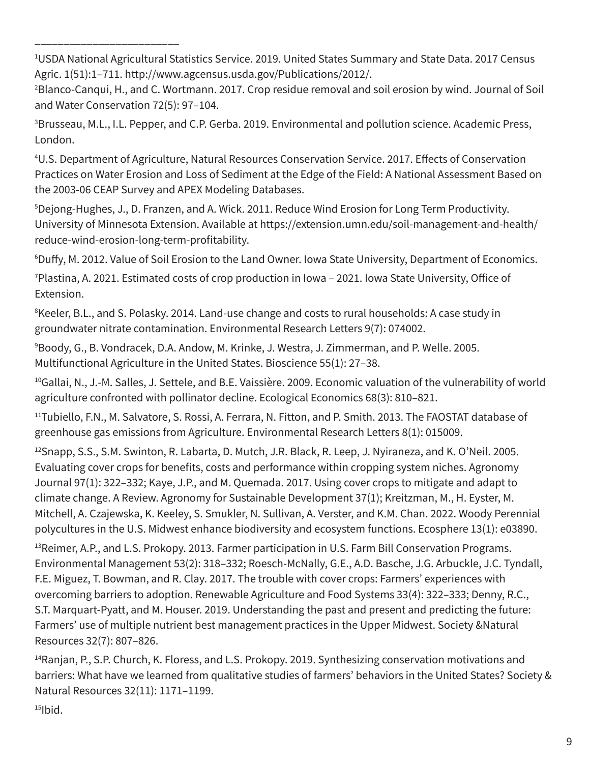1 USDA National Agricultural Statistics Service. 2019. United States Summary and State Data. 2017 Census Agric. 1(51):1–711. http://www.agcensus.usda.gov/Publications/2012/.

\_\_\_\_\_\_\_\_\_\_\_\_\_\_\_\_\_\_\_\_\_\_\_\_\_

2 Blanco-Canqui, H., and C. Wortmann. 2017. Crop residue removal and soil erosion by wind. Journal of Soil and Water Conservation 72(5): 97–104.

3 Brusseau, M.L., I.L. Pepper, and C.P. Gerba. 2019. Environmental and pollution science. Academic Press, London.

4 U.S. Department of Agriculture, Natural Resources Conservation Service. 2017. Effects of Conservation Practices on Water Erosion and Loss of Sediment at the Edge of the Field: A National Assessment Based on the 2003-06 CEAP Survey and APEX Modeling Databases.

5 Dejong-Hughes, J., D. Franzen, and A. Wick. 2011. Reduce Wind Erosion for Long Term Productivity. University of Minnesota Extension. Available at https://extension.umn.edu/soil-management-and-health/ reduce-wind-erosion-long-term-profitability.

6 Duffy, M. 2012. Value of Soil Erosion to the Land Owner. Iowa State University, Department of Economics.

7 Plastina, A. 2021. Estimated costs of crop production in Iowa – 2021. Iowa State University, Office of Extension.

8 Keeler, B.L., and S. Polasky. 2014. Land-use change and costs to rural households: A case study in groundwater nitrate contamination. Environmental Research Letters 9(7): 074002.

9 Boody, G., B. Vondracek, D.A. Andow, M. Krinke, J. Westra, J. Zimmerman, and P. Welle. 2005. Multifunctional Agriculture in the United States. Bioscience 55(1): 27–38.

<sup>10</sup>Gallai, N., J.-M. Salles, J. Settele, and B.E. Vaissière. 2009. Economic valuation of the vulnerability of world agriculture confronted with pollinator decline. Ecological Economics 68(3): 810–821.

11Tubiello, F.N., M. Salvatore, S. Rossi, A. Ferrara, N. Fitton, and P. Smith. 2013. The FAOSTAT database of greenhouse gas emissions from Agriculture. Environmental Research Letters 8(1): 015009.

12Snapp, S.S., S.M. Swinton, R. Labarta, D. Mutch, J.R. Black, R. Leep, J. Nyiraneza, and K. O'Neil. 2005. Evaluating cover crops for benefits, costs and performance within cropping system niches. Agronomy Journal 97(1): 322–332; Kaye, J.P., and M. Quemada. 2017. Using cover crops to mitigate and adapt to climate change. A Review. Agronomy for Sustainable Development 37(1); Kreitzman, M., H. Eyster, M. Mitchell, A. Czajewska, K. Keeley, S. Smukler, N. Sullivan, A. Verster, and K.M. Chan. 2022. Woody Perennial polycultures in the U.S. Midwest enhance biodiversity and ecosystem functions. Ecosphere 13(1): e03890.

<sup>13</sup> Reimer, A.P., and L.S. Prokopy. 2013. Farmer participation in U.S. Farm Bill Conservation Programs. Environmental Management 53(2): 318–332; Roesch-McNally, G.E., A.D. Basche, J.G. Arbuckle, J.C. Tyndall, F.E. Miguez, T. Bowman, and R. Clay. 2017. The trouble with cover crops: Farmers' experiences with overcoming barriers to adoption. Renewable Agriculture and Food Systems 33(4): 322–333; Denny, R.C., S.T. Marquart-Pyatt, and M. Houser. 2019. Understanding the past and present and predicting the future: Farmers' use of multiple nutrient best management practices in the Upper Midwest. Society &Natural Resources 32(7): 807–826.

<sup>14</sup>Ranjan, P., S.P. Church, K. Floress, and L.S. Prokopy. 2019. Synthesizing conservation motivations and barriers: What have we learned from qualitative studies of farmers' behaviors in the United States? Society & Natural Resources 32(11): 1171–1199.

 $15$ Ibid.